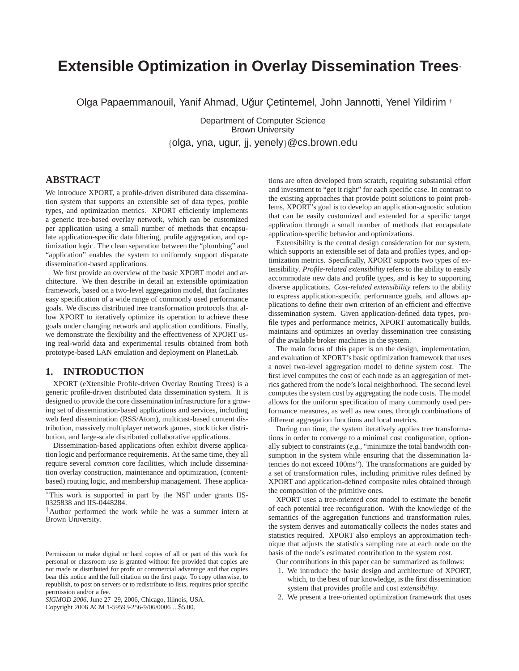# **Extensible Optimization in Overlay Dissemination Trees**<sup>∗</sup>

Olga Papaemmanouil, Yanif Ahmad, Uğur Çetintemel, John Jannotti, Yenel Yildirim <sup>†</sup>

Department of Computer Science Brown University {olga, yna, ugur, jj, yenely}@cs.brown.edu

# **ABSTRACT**

We introduce XPORT, a profile-driven distributed data dissemination system that supports an extensible set of data types, profile types, and optimization metrics. XPORT efficiently implements a generic tree-based overlay network, which can be customized per application using a small number of methods that encapsulate application-specific data filtering, profile aggregation, and optimization logic. The clean separation between the "plumbing" and "application" enables the system to uniformly support disparate dissemination-based applications.

We first provide an overview of the basic XPORT model and architecture. We then describe in detail an extensible optimization framework, based on a two-level aggregation model, that facilitates easy specification of a wide range of commonly used performance goals. We discuss distributed tree transformation protocols that allow XPORT to iteratively optimize its operation to achieve these goals under changing network and application conditions. Finally, we demonstrate the flexibility and the effectiveness of XPORT using real-world data and experimental results obtained from both prototype-based LAN emulation and deployment on PlanetLab.

## **1. INTRODUCTION**

XPORT (eXtensible Profile-driven Overlay Routing Trees) is a generic profile-driven distributed data dissemination system. It is designed to provide the core dissemination infrastructure for a growing set of dissemination-based applications and services, including web feed dissemination (RSS/Atom), multicast-based content distribution, massively multiplayer network games, stock ticker distribution, and large-scale distributed collaborative applications.

Dissemination-based applications often exhibit diverse application logic and performance requirements. At the same time, they all require several *common* core facilities, which include dissemination overlay construction, maintenance and optimization, (contentbased) routing logic, and membership management. These applica-

Copyright 2006 ACM 1-59593-256-9/06/0006 ...\$5.00.

tions are often developed from scratch, requiring substantial effort and investment to "get it right" for each specific case. In contrast to the existing approaches that provide point solutions to point problems, XPORT's goal is to develop an application-agnostic solution that can be easily customized and extended for a specific target application through a small number of methods that encapsulate application-specific behavior and optimizations.

Extensibility is the central design consideration for our system, which supports an extensible set of data and profiles types, and optimization metrics. Specifically, XPORT supports two types of extensibility. *Profile-related extensibility* refers to the ability to easily accommodate new data and profile types, and is key to supporting diverse applications. *Cost-related extensibility* refers to the ability to express application-specific performance goals, and allows applications to define their own criterion of an efficient and effective dissemination system. Given application-defined data types, profile types and performance metrics, XPORT automatically builds, maintains and optimizes an overlay dissemination tree consisting of the available broker machines in the system.

The main focus of this paper is on the design, implementation, and evaluation of XPORT's basic optimization framework that uses a novel two-level aggregation model to define system cost. The first level computes the cost of each node as an aggregation of metrics gathered from the node's local neighborhood. The second level computes the system cost by aggregating the node costs. The model allows for the uniform specification of many commonly used performance measures, as well as new ones, through combinations of different aggregation functions and local metrics.

During run time, the system iteratively applies tree transformations in order to converge to a minimal cost configuration, optionally subject to constraints (*e.g.*, "minimize the total bandwidth consumption in the system while ensuring that the dissemination latencies do not exceed 100ms"). The transformations are guided by a set of transformation rules, including primitive rules defined by XPORT and application-defined composite rules obtained through the composition of the primitive ones.

XPORT uses a tree-oriented cost model to estimate the benefit of each potential tree reconfiguration. With the knowledge of the semantics of the aggregation functions and transformation rules, the system derives and automatically collects the nodes states and statistics required. XPORT also employs an approximation technique that adjusts the statistics sampling rate at each node on the basis of the node's estimated contribution to the system cost.

Our contributions in this paper can be summarized as follows:

- 1. We introduce the basic design and architecture of XPORT, which, to the best of our knowledge, is the first dissemination system that provides profile and cost *extensibility*.
- 2. We present a tree-oriented optimization framework that uses

<sup>∗</sup>This work is supported in part by the NSF under grants IIS-0325838 and IIS-0448284.

<sup>†</sup>Author performed the work while he was a summer intern at Brown University.

Permission to make digital or hard copies of all or part of this work for personal or classroom use is granted without fee provided that copies are not made or distributed for profit or commercial advantage and that copies bear this notice and the full citation on the first page. To copy otherwise, to republish, to post on servers or to redistribute to lists, requires prior specific permission and/or a fee.

*SIGMOD 2006,* June 27–29, 2006, Chicago, Illinois, USA.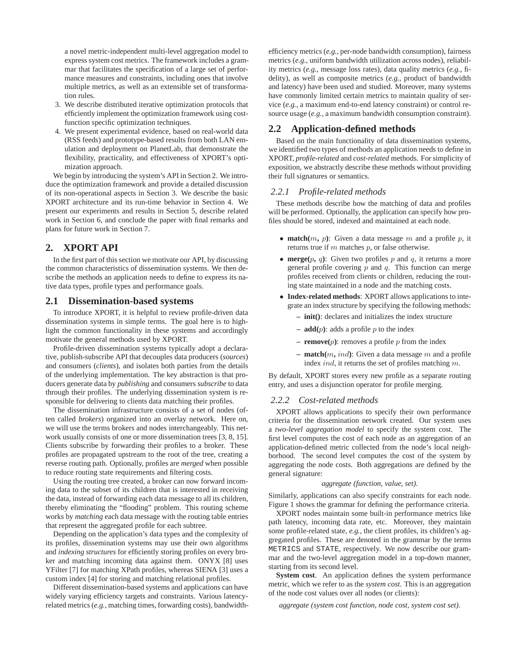a novel metric-independent multi-level aggregation model to express system cost metrics. The framework includes a grammar that facilitates the specification of a large set of performance measures and constraints, including ones that involve multiple metrics, as well as an extensible set of transformation rules.

- 3. We describe distributed iterative optimization protocols that efficiently implement the optimization framework using costfunction specific optimization techniques.
- 4. We present experimental evidence, based on real-world data (RSS feeds) and prototype-based results from both LAN emulation and deployment on PlanetLab, that demonstrate the flexibility, practicality, and effectiveness of XPORT's optimization approach.

We begin by introducing the system's API in Section 2. We introduce the optimization framework and provide a detailed discussion of its non-operational aspects in Section 3. We describe the basic XPORT architecture and its run-time behavior in Section 4. We present our experiments and results in Section 5, describe related work in Section 6, and conclude the paper with final remarks and plans for future work in Section 7.

# **2. XPORT API**

In the first part of this section we motivate our API, by discussing the common characteristics of dissemination systems. We then describe the methods an application needs to define to express its native data types, profile types and performance goals.

#### **2.1 Dissemination-based systems**

To introduce XPORT, it is helpful to review profile-driven data dissemination systems in simple terms. The goal here is to highlight the common functionality in these systems and accordingly motivate the general methods used by XPORT.

Profile-driven dissemination systems typically adopt a declarative, publish-subscribe API that decouples data producers (*sources*) and consumers (*clients*), and isolates both parties from the details of the underlying implementation. The key abstraction is that producers generate data by *publishing* and consumers *subscribe* to data through their profiles. The underlying dissemination system is responsible for delivering to clients data matching their profiles.

The dissemination infrastructure consists of a set of nodes (often called *brokers*) organized into an overlay network. Here on, we will use the terms brokers and nodes interchangeably. This network usually consists of one or more dissemination trees [3, 8, 15]. Clients subscribe by forwarding their profiles to a broker. These profiles are propagated upstream to the root of the tree, creating a reverse routing path. Optionally, profiles are *merged* when possible to reduce routing state requirements and filtering costs.

Using the routing tree created, a broker can now forward incoming data to the subset of its children that is interested in receiving the data, instead of forwarding each data message to all its children, thereby eliminating the "flooding" problem. This routing scheme works by *matching* each data message with the routing table entries that represent the aggregated profile for each subtree.

Depending on the application's data types and the complexity of its profiles, dissemination systems may use their own algorithms and *indexing structures* for efficiently storing profiles on every broker and matching incoming data against them. ONYX [8] uses YFilter [7] for matching XPath profiles, whereas SIENA [3] uses a custom index [4] for storing and matching relational profiles.

Different dissemination-based systems and applications can have widely varying efficiency targets and constraints. Various latencyrelated metrics (*e.g.*, matching times, forwarding costs), bandwidthefficiency metrics (*e.g.*, per-node bandwidth consumption), fairness metrics (*e.g.*, uniform bandwidth utilization across nodes), reliability metrics (*e.g.*, message loss rates), data quality metrics (*e.g.*, fidelity), as well as composite metrics (*e.g.*, product of bandwidth and latency) have been used and studied. Moreover, many systems have commonly limited certain metrics to maintain quality of service (*e.g.*, a maximum end-to-end latency constraint) or control resource usage (*e.g.*, a maximum bandwidth consumption constraint).

## **2.2 Application-defined methods**

Based on the main functionality of data dissemination systems, we identified two types of methods an application needs to define in XPORT, *profile-related* and *cost-related* methods. For simplicity of exposition, we abstractly describe these methods without providing their full signatures or semantics.

#### *2.2.1 Profile-related methods*

These methods describe how the matching of data and profiles will be performed. Optionally, the application can specify how profiles should be stored, indexed and maintained at each node.

- **match** $(m, p)$ : Given a data message m and a profile p, it returns true if  $m$  matches  $p$ , or false otherwise.
- **merge** $(p, q)$ : Given two profiles p and q, it returns a more general profile covering  $p$  and  $q$ . This function can merge profiles received from clients or children, reducing the routing state maintained in a node and the matching costs.
- **Index-related methods**: XPORT allows applications to integrate an index structure by specifying the following methods:
	- **init()**: declares and initializes the index structure
	- $-$  **add**(*p*): adds a profile *p* to the index
	- **remove** $(p)$ : removes a profile p from the index
	- $-$  **match** $(m, ind)$ : Given a data message m and a profile index ind, it returns the set of profiles matching m.

By default, XPORT stores every new profile as a separate routing entry, and uses a disjunction operator for profile merging.

## *2.2.2 Cost-related methods*

XPORT allows applications to specify their own performance criteria for the dissemination network created. Our system uses a *two-level aggregation model* to specify the system cost. The first level computes the cost of each node as an aggregation of an application-defined metric collected from the node's local neighborhood. The second level computes the cost of the system by aggregating the node costs. Both aggregations are defined by the general signature:

#### *aggregate (function, value, set).*

Similarly, applications can also specify constraints for each node. Figure 1 shows the grammar for defining the performance criteria.

XPORT nodes maintain some built-in performance metrics like path latency, incoming data rate, etc. Moreover, they maintain some profile-related state, *e.g.*, the client profiles, its children's aggregated profiles. These are denoted in the grammar by the terms METRICS and STATE, respectively. We now describe our grammar and the two-level aggregation model in a top-down manner, starting from its second level.

**System cost**. An application defines the system performance metric, which we refer to as the *system cost*. This is an aggregation of the node cost values over all nodes (or clients):

*aggregate (system cost function, node cost, system cost set).*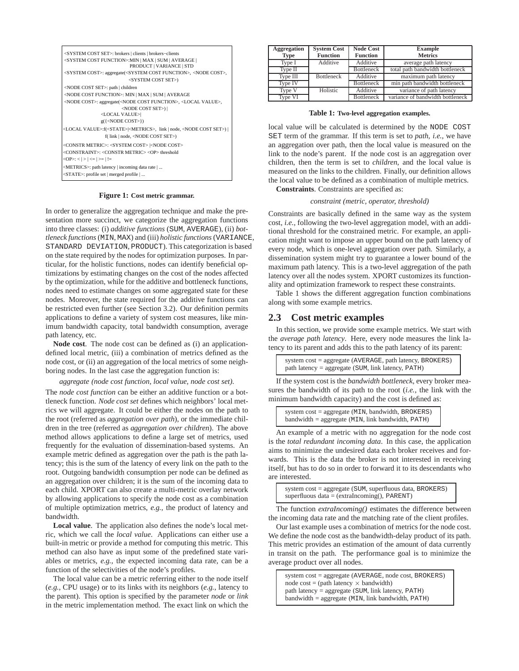| <system cost="" set="">: brokers   clients   brokers-clients<br/><system cost="" function="">:MIN   MAX   SUM   AVERAGE  <br/>PRODUCT   VARIANCE   STD<br/><system cost="">: aggregate(<system cost="" function="">, <node cost="">,<br/><system cost="" set="">)</system></node></system></system></system></system> |
|-----------------------------------------------------------------------------------------------------------------------------------------------------------------------------------------------------------------------------------------------------------------------------------------------------------------------|
| <node cost="" set="">: path   children</node>                                                                                                                                                                                                                                                                         |
| <node cost="" function="">: MIN   MAX   SUM   AVERAGE</node>                                                                                                                                                                                                                                                          |
| <node cost="">: aggregate(<node cost="" function="">, <local value="">,</local></node></node>                                                                                                                                                                                                                         |
| <node cost="" set="">)  </node>                                                                                                                                                                                                                                                                                       |
| <local value=""> </local>                                                                                                                                                                                                                                                                                             |
| $g({\{\langle NODE\,COST\rangle\}})$                                                                                                                                                                                                                                                                                  |
| <local value="">:f(<state> <metrics>, link   node, <node cost="" set="">)  </node></metrics></state></local>                                                                                                                                                                                                          |
| f( link   node, <node cost="" set="">)</node>                                                                                                                                                                                                                                                                         |
| <constr metric="">: <system cost="">  <node cost=""></node></system></constr>                                                                                                                                                                                                                                         |
| <constraint>: <constr metric=""> <op> threshold</op></constr></constraint>                                                                                                                                                                                                                                            |
| $\langle$ OP>: $\langle$   >   $\langle$ =   >=   !=                                                                                                                                                                                                                                                                  |
| <metrics>: path latency   incoming data rate   </metrics>                                                                                                                                                                                                                                                             |
| <state>: profile set   merged profile   </state>                                                                                                                                                                                                                                                                      |

**Figure 1: Cost metric grammar.**

In order to generalize the aggregation technique and make the presentation more succinct, we categorize the aggregation functions into three classes: (i) *additive functions* (SUM, AVERAGE), (ii) *bottleneck functions* (MIN, MAX) and (iii) *holistic functions* (VARIANCE, STANDARD DEVIATION, PRODUCT). This categorization is based on the state required by the nodes for optimization purposes. In particular, for the holistic functions, nodes can identify beneficial optimizations by estimating changes on the cost of the nodes affected by the optimization, while for the additive and bottleneck functions, nodes need to estimate changes on some aggregated state for these nodes. Moreover, the state required for the additive functions can be restricted even further (see Section 3.2). Our definition permits applications to define a variety of system cost measures, like minimum bandwidth capacity, total bandwidth consumption, average path latency, etc.

**Node cost**. The node cost can be defined as (i) an applicationdefined local metric, (iii) a combination of metrics defined as the node cost, or (ii) an aggregation of the local metrics of some neighboring nodes. In the last case the aggregation function is:

#### *aggregate (node cost function, local value, node cost set).*

The *node cost function* can be either an additive function or a bottleneck function. *Node cost set* defines which neighbors' local metrics we will aggregate. It could be either the nodes on the path to the root (referred as *aggregation over path*), or the immediate children in the tree (referred as *aggregation over children*). The above method allows applications to define a large set of metrics, used frequently for the evaluation of dissemination-based systems. An example metric defined as aggregation over the path is the path latency; this is the sum of the latency of every link on the path to the root. Outgoing bandwidth consumption per node can be defined as an aggregation over children; it is the sum of the incoming data to each child. XPORT can also create a multi-metric overlay network by allowing applications to specify the node cost as a combination of multiple optimization metrics, *e.g.*, the product of latency and bandwidth.

**Local value**. The application also defines the node's local metric, which we call the *local value*. Applications can either use a built-in metric or provide a method for computing this metric. This method can also have as input some of the predefined state variables or metrics, *e.g.*, the expected incoming data rate, can be a function of the selectivities of the node's profiles.

The local value can be a metric referring either to the node itself (*e.g.*, CPU usage) or to its links with its neighbors (*e.g.*, latency to the parent). This option is specified by the parameter *node* or *link* in the metric implementation method. The exact link on which the

| <b>Aggregation</b> | <b>System Cost</b> | <b>Node Cost</b>  | <b>Example</b>                   |
|--------------------|--------------------|-------------------|----------------------------------|
| <b>Type</b>        | <b>Function</b>    | <b>Function</b>   | <b>Metrics</b>                   |
| Type I             | Additive           | Additive          | average path latency             |
| Type II            |                    | <b>Bottleneck</b> | total path bandwidth bottleneck  |
| Type III           | <b>Bottleneck</b>  | Additive          | maximum path latency             |
| Type IV            |                    | <b>Bottleneck</b> | min path bandwidth bottleneck    |
| Type V             | Holistic           | Additive          | variance of path latency         |
| Type VI            |                    | <b>Bottleneck</b> | variance of bandwidth bottleneck |

**Table 1: Two-level aggregation examples.**

local value will be calculated is determined by the NODE COST SET term of the grammar. If this term is set to *path*, *i.e.*, we have an aggregation over path, then the local value is measured on the link to the node's parent. If the node cost is an aggregation over children, then the term is set to *children*, and the local value is measured on the links to the children. Finally, our definition allows the local value to be defined as a combination of multiple metrics.

**Constraints**. Constraints are specified as:

#### *constraint (metric, operator, threshold)*

Constraints are basically defined in the same way as the system cost, *i.e.*, following the two-level aggregation model, with an additional threshold for the constrained metric. For example, an application might want to impose an upper bound on the path latency of every node, which is one-level aggregation over path. Similarly, a dissemination system might try to guarantee a lower bound of the maximum path latency. This is a two-level aggregation of the path latency over all the nodes system. XPORT customizes its functionality and optimization framework to respect these constraints.

Table 1 shows the different aggregation function combinations along with some example metrics.

## **2.3 Cost metric examples**

In this section, we provide some example metrics. We start with the *average path latency*. Here, every node measures the link latency to its parent and adds this to the path latency of its parent:

| system cost = aggregate (AVERAGE, path latency, BROKERS) |
|----------------------------------------------------------|
| path latency = aggregate (SUM, link latency, PATH)       |

If the system cost is the *bandwidth bottleneck*, every broker measures the bandwidth of its path to the root (*i.e.*, the link with the minimum bandwidth capacity) and the cost is defined as:

system cost = aggregate (MIN, bandwidth, BROKERS) bandwidth = aggregate (MIN, link bandwidth, PATH)

An example of a metric with no aggregation for the node cost is the *total redundant incoming data*. In this case, the application aims to minimize the undesired data each broker receives and forwards. This is the data the broker is not interested in receiving itself, but has to do so in order to forward it to its descendants who are interested.

system cost = aggregate (SUM, superfluous data, BROKERS) superfluous data = (extraIncoming(), PARENT)

The function *extraIncoming()* estimates the difference between the incoming data rate and the matching rate of the client profiles.

Our last example uses a combination of metrics for the node cost. We define the node cost as the bandwidth-delay product of its path. This metric provides an estimation of the amount of data currently in transit on the path. The performance goal is to minimize the average product over all nodes.

system cost = aggregate (AVERAGE, node cost, BROKERS) node  $cost = (path latency \times bandwidth)$ path latency = aggregate (SUM, link latency, PATH) bandwidth = aggregate (MIN, link bandwidth, PATH)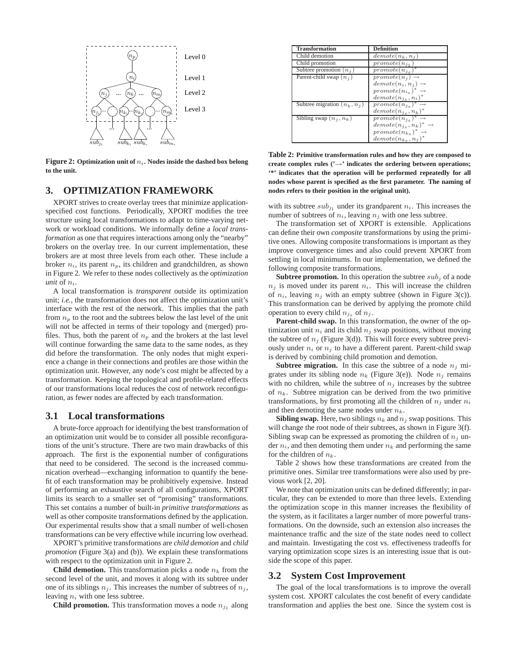

**Figure 2:** Optimization unit of  $n_i$ . Nodes inside the dashed box belong **to the unit.**

# **3. OPTIMIZATION FRAMEWORK**

XPORT strives to create overlay trees that minimize applicationspecified cost functions. Periodically, XPORT modifies the tree structure using local transformations to adapt to time-varying network or workload conditions. We informally define a *local transformation* as one that requires interactions among only the "nearby" brokers on the overlay tree. In our current implementation, these brokers are at most three levels from each other. These include a broker  $n_i$ , its parent  $n_p$ , its children and grandchildren, as shown in Figure 2. We refer to these nodes collectively as the *optimization unit* of  $n_i$ .

A local transformation is *transparent* outside its optimization unit; *i.e.*, the transformation does not affect the optimization unit's interface with the rest of the network. This implies that the path from  $n_p$  to the root and the subtrees below the last level of the unit will not be affected in terms of their topology and (merged) profiles. Thus, both the parent of  $n_p$  and the brokers at the last level will continue forwarding the same data to the same nodes, as they did before the transformation. The only nodes that might experience a change in their connections and profiles are those within the optimization unit. However, any node's cost might be affected by a transformation. Keeping the topological and profile-related effects of our transformations local reduces the cost of network reconfiguration, as fewer nodes are affected by each transformation.

#### **3.1 Local transformations**

A brute-force approach for identifying the best transformation of an optimization unit would be to consider all possible reconfigurations of the unit's structure. There are two main drawbacks of this approach. The first is the exponential number of configurations that need to be considered. The second is the increased communication overhead—exchanging information to quantify the benefit of each transformation may be prohibitively expensive. Instead of performing an exhaustive search of all configurations, XPORT limits its search to a smaller set of "promising" transformations. This set contains a number of built-in *primitive transformations* as well as other composite transformations defined by the application. Our experimental results show that a small number of well-chosen transformations can be very effective while incurring low overhead.

XPORT's primitive transformations are *child demotion* and *child promotion* (Figure 3(a) and (b)). We explain these transformations with respect to the optimization unit in Figure 2.

**Child demotion.** This transformation picks a node  $n_k$  from the second level of the unit, and moves it along with its subtree under one of its siblings  $n_j$ . This increases the number of subtrees of  $n_j$ , leaving  $n_i$  with one less subtree.

**Child promotion.** This transformation moves a node  $n_{j_1}$  along

| <b>Definition</b>                           |
|---------------------------------------------|
| $demote(n_k, n_i)$                          |
| $promote(n_{i_1})$                          |
| $promote(n_{i_{s}})$                        |
| $promote(n_i) \rightarrow$                  |
| $demote(n_i, n_i) \rightarrow$              |
| $promote(n_{i_s})^* \rightarrow$            |
| $demote(n_{i_{\epsilon}}, n_i)^*$           |
| $promote(n_{is})^* \rightarrow$             |
| $demote(n_{is}, n_k)^*$                     |
| $\overline{promote}(n_{i_s})^* \rightarrow$ |
| $demote(n_{j_s}, n_k)^* \rightarrow$        |
| $promote(n_{k_s})^* \rightarrow$            |
| $demote(n_{k_s}, n_j)^*$                    |
|                                             |

**Table 2: Primitive transformation rules and how they are composed to create complex rules ('**→**' indicates the ordering between operations; '\*' indicates that the operation will be performed repeatedly for all nodes whose parent is specified as the first parameter. The naming of nodes refers to their position in the original unit).**

with its subtree  $sub_{j_1}$  under its grandparent  $n_i$ . This increases the number of subtrees of  $n_i$ , leaving  $n_j$  with one less subtree.

The transformation set of XPORT is extensible. Applications can define their own *composite* transformations by using the primitive ones. Allowing composite transformations is important as they improve convergence times and also could prevent XPORT from settling in local minimums. In our implementation, we defined the following composite transformations.

**Subtree promotion.** In this operation the subtree  $sub<sub>i</sub>$  of a node  $n_i$  is moved under its parent  $n_i$ . This will increase the children of  $n_i$ , leaving  $n_i$  with an empty subtree (shown in Figure 3(c)). This transformation can be derived by applying the promote child operation to every child  $n_{j_s}$  of  $n_j$ .

**Parent-child swap.** In this transformation, the owner of the optimization unit  $n_i$  and its child  $n_j$  swap positions, without moving the subtree of  $n_i$  (Figure 3(d)). This will force every subtree previously under  $n_i$  or  $n_j$  to have a different parent. Parent-child swap is derived by combining child promotion and demotion.

**Subtree migration.** In this case the subtree of a node  $n_i$  migrates under its sibling node  $n_k$  (Figure 3(e)). Node  $n_i$  remains with no children, while the subtree of  $n<sub>j</sub>$  increases by the subtree of  $n_k$ . Subtree migration can be derived from the two primitive transformations, by first promoting all the children of  $n_j$  under  $n_i$ and then demoting the same nodes under  $n_k$ .

**Sibling swap.** Here, two siblings  $n_k$  and  $n_j$  swap positions. This will change the root node of their subtrees, as shown in Figure 3(f). Sibling swap can be expressed as promoting the children of  $n_j$  under  $n_i$ , and then demoting them under  $n_k$  and performing the same for the children of  $n_k$ .

Table 2 shows how these transformations are created from the primitive ones. Similar tree transformations were also used by previous work [2, 20].

We note that optimization units can be defined differently; in particular, they can be extended to more than three levels. Extending the optimization scope in this manner increases the flexibility of the system, as it facilitates a larger number of more powerful transformations. On the downside, such an extension also increases the maintenance traffic and the size of the state nodes need to collect and maintain. Investigating the cost vs. effectiveness tradeoffs for varying optimization scope sizes is an interesting issue that is outside the scope of this paper.

## **3.2 System Cost Improvement**

The goal of the local transformations is to improve the overall system cost. XPORT calculates the cost benefit of every candidate transformation and applies the best one. Since the system cost is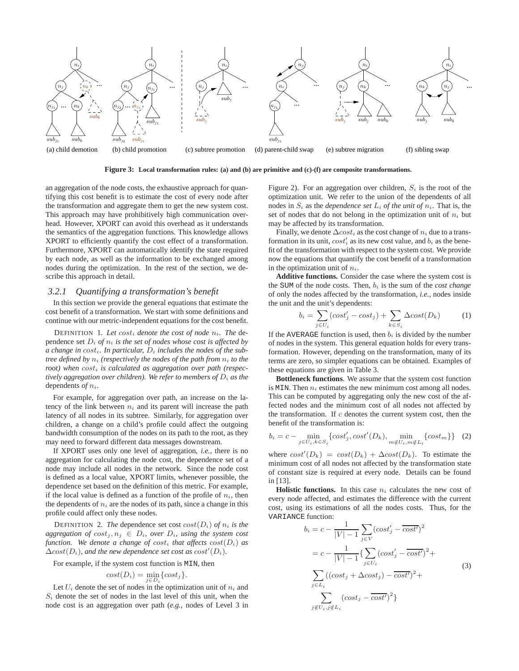

**Figure 3: Local transformation rules: (a) and (b) are primitive and (c)-(f) are composite transformations.**

an aggregation of the node costs, the exhaustive approach for quantifying this cost benefit is to estimate the cost of every node after the transformation and aggregate them to get the new system cost. This approach may have prohibitively high communication overhead. However, XPORT can avoid this overhead as it understands the semantics of the aggregation functions. This knowledge allows XPORT to efficiently quantify the cost effect of a transformation. Furthermore, XPORT can automatically identify the state required by each node, as well as the information to be exchanged among nodes during the optimization. In the rest of the section, we describe this approach in detail.

#### *3.2.1 Quantifying a transformation's benefit*

In this section we provide the general equations that estimate the cost benefit of a transformation. We start with some definitions and continue with our metric-independent equations for the cost benefit.

DEFINITION 1. Let  $cost_i$  denote the cost of node  $n_i$ . The dependence set  $D_i$  *of*  $n_i$  *is the set of nodes whose cost is affected by*  $a$  *change in cost<sub>i</sub>. In particular,*  $D_i$  *includes the nodes of the subtree defined by*  $n_i$  (*respectively the nodes of the path from*  $n_i$  *to the root*) when  $cost_i$  is calculated as aggregation over path (respec*tively aggregation over children). We refer to members of*  $D_i$  *as the* dependents *of*  $n_i$ .

For example, for aggregation over path, an increase on the latency of the link between  $n_i$  and its parent will increase the path latency of all nodes in its subtree. Similarly, for aggregation over children, a change on a child's profile could affect the outgoing bandwidth consumption of the nodes on its path to the root, as they may need to forward different data messages downstream.

If XPORT uses only one level of aggregation, *i.e.*, there is no aggregation for calculating the node cost, the dependence set of a node may include all nodes in the network. Since the node cost is defined as a local value, XPORT limits, whenever possible, the dependence set based on the definition of this metric. For example, if the local value is defined as a function of the profile of  $n_i$ , then the dependents of  $n_i$  are the nodes of its path, since a change in this profile could affect only these nodes.

DEFINITION 2. *The* dependence set cost  $cost(D_i)$  of  $n_i$  is the *aggregation of*  $cost_j, n_j \text{ } \in D_i$ , over  $D_i$ , using the system cost *function.* We denote a change of  $cost_i$  that affects  $cost(D_i)$  as  $\Delta cost(D_i)$ *, and the new dependence set cost as*  $cost'(D_i)$ *.* 

For example, if the system cost function is MIN, then

$$
cost(D_i) = \min_{j \in D_i} \{cost_j\}.
$$

Let  $U_i$  denote the set of nodes in the optimization unit of  $n_i$  and  $S_i$  denote the set of nodes in the last level of this unit, when the node cost is an aggregation over path (*e.g.*, nodes of Level 3 in Figure 2). For an aggregation over children,  $S_i$  is the root of the optimization unit. We refer to the union of the dependents of all nodes in  $S_i$  as the *dependence set*  $L_i$  *of the unit of*  $n_i$ . That is, the set of nodes that do not belong in the optimization unit of  $n_i$  but may be affected by its transformation.

Finally, we denote  $\Delta cost_i$  as the cost change of  $n_i$  due to a transformation in its unit,  $cost'_i$  as its new cost value, and  $b_i$  as the benefit of the transformation with respect to the system cost. We provide now the equations that quantify the cost benefit of a transformation in the optimization unit of  $n_i$ .

**Additive functions.** Consider the case where the system cost is the SUM of the node costs. Then,  $b_i$  is the sum of the *cost change* of only the nodes affected by the transformation, *i.e.*, nodes inside the unit and the unit's dependents:

$$
b_i = \sum_{j \in U_i} (cost'_j - cost_j) + \sum_{k \in S_i} \Delta cost(D_k)
$$
 (1)

If the AVERAGE function is used, then  $b_i$  is divided by the number of nodes in the system. This general equation holds for every transformation. However, depending on the transformation, many of its terms are zero, so simpler equations can be obtained. Examples of these equations are given in Table 3.

**Bottleneck functions**. We assume that the system cost function is MIN. Then  $n_i$  estimates the new minimum cost among all nodes. This can be computed by aggregating only the new cost of the affected nodes and the minimum cost of all nodes not affected by the transformation. If  $c$  denotes the current system cost, then the benefit of the transformation is:

$$
b_i = c - \min_{j \in U_i, k \in S_i} \{ cost'_j, cost'(D_k), \min_{m \notin U_i, m \notin L_i} \{ cost_m \} \} \quad (2)
$$

where  $cost'(D_k) = cost(D_k) + \Delta cost(D_k)$ . To estimate the minimum cost of all nodes not affected by the transformation state of constant size is required at every node. Details can be found in [13].

**Holistic functions.** In this case  $n_i$  calculates the new cost of every node affected, and estimates the difference with the current cost, using its estimations of all the nodes costs. Thus, for the VARIANCE function:

$$
b_i = c - \frac{1}{|V|-1} \sum_{j \in V} (cost'_j - cost')^2
$$
  

$$
= c - \frac{1}{|V|-1} \left\{ \sum_{j \in U_i} (cost'_j - cost')^2 + \sum_{j \in L_i} ((cost_j + \Delta cost_j) - cost')^2 + \right\}
$$
  

$$
\sum_{j \in L_i} (cost_j + \Delta cost_j)^2 \}
$$
  

$$
j \notin U_i, j \notin L_i
$$
 (20)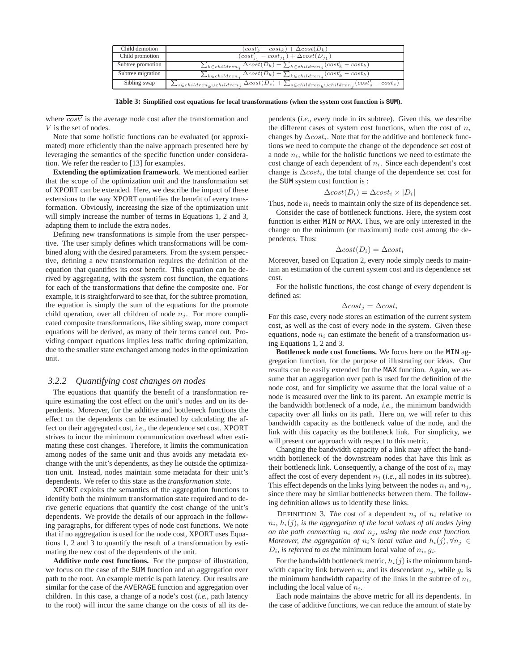| Child demotion    | $(cost'_k - cost_k) + \Delta cost(D_k)$                                                                                 |
|-------------------|-------------------------------------------------------------------------------------------------------------------------|
| Child promotion   | $(cost'_{i_1} - cost_{i_1}) + \Delta cost(D_{i_1})$                                                                     |
| Subtree promotion | $\sum_{k \in children_i} \Delta cost(D_k) + \sum_{k \in children_i} (cost'_k - cost_k)$                                 |
| Subtree migration | $\sum_{k \in children_i} \Delta cost(D_k) + \sum_{k \in children_i} (cost'_k - cost_k)$                                 |
| Sibling swap      | $\sum_{s \in children_k \cup children_i} \Delta cost(D_s) + \sum_{s \in children_k \cup children_i} (cost'_s - cost_s)$ |

**Table 3: Simplified cost equations for local transformations (when the system cost function is SUM).**

where  $cost'$  is the average node cost after the transformation and V is the set of nodes.

Note that some holistic functions can be evaluated (or approximated) more efficiently than the naive approach presented here by leveraging the semantics of the specific function under consideration. We refer the reader to [13] for examples.

**Extending the optimization framework**. We mentioned earlier that the scope of the optimization unit and the transformation set of XPORT can be extended. Here, we describe the impact of these extensions to the way XPORT quantifies the benefit of every transformation. Obviously, increasing the size of the optimization unit will simply increase the number of terms in Equations 1, 2 and 3, adapting them to include the extra nodes.

Defining new transformations is simple from the user perspective. The user simply defines which transformations will be combined along with the desired parameters. From the system perspective, defining a new transformation requires the definition of the equation that quantifies its cost benefit. This equation can be derived by aggregating, with the system cost function, the equations for each of the transformations that define the composite one. For example, it is straightforward to see that, for the subtree promotion, the equation is simply the sum of the equations for the promote child operation, over all children of node  $n_j$ . For more complicated composite transformations, like sibling swap, more compact equations will be derived, as many of their terms cancel out. Providing compact equations implies less traffic during optimization, due to the smaller state exchanged among nodes in the optimization unit.

#### *3.2.2 Quantifying cost changes on nodes*

The equations that quantify the benefit of a transformation require estimating the cost effect on the unit's nodes and on its dependents. Moreover, for the additive and bottleneck functions the effect on the dependents can be estimated by calculating the affect on their aggregated cost, *i.e.*, the dependence set cost. XPORT strives to incur the minimum communication overhead when estimating these cost changes. Therefore, it limits the communication among nodes of the same unit and thus avoids any metadata exchange with the unit's dependents, as they lie outside the optimization unit. Instead, nodes maintain some metadata for their unit's dependents. We refer to this state as the *transformation state*.

XPORT exploits the semantics of the aggregation functions to identify both the minimum transformation state required and to derive generic equations that quantify the cost change of the unit's dependents. We provide the details of our approach in the following paragraphs, for different types of node cost functions. We note that if no aggregation is used for the node cost, XPORT uses Equations 1, 2 and 3 to quantify the result of a transformation by estimating the new cost of the dependents of the unit.

**Additive node cost functions.** For the purpose of illustration, we focus on the case of the SUM function and an aggregation over path to the root. An example metric is path latency. Our results are similar for the case of the AVERAGE function and aggregation over children. In this case, a change of a node's cost (*i.e.*, path latency to the root) will incur the same change on the costs of all its dependents (*i.e.*, every node in its subtree). Given this, we describe the different cases of system cost functions, when the cost of  $n_i$ changes by  $\Delta cost_i$ . Note that for the additive and bottleneck functions we need to compute the change of the dependence set cost of a node  $n_i$ , while for the holistic functions we need to estimate the cost change of each dependent of  $n_i$ . Since each dependent's cost change is  $\Delta cost_i$ , the total change of the dependence set cost for the SUM system cost function is :

$$
\Delta cost(D_i) = \Delta cost_i \times |D_i|
$$

Thus, node  $n_i$  needs to maintain only the size of its dependence set.

Consider the case of bottleneck functions. Here, the system cost function is either MIN or MAX. Thus, we are only interested in the change on the minimum (or maximum) node cost among the dependents. Thus:

$$
\Delta cost(D_i) = \Delta cost_i
$$

Moreover, based on Equation 2, every node simply needs to maintain an estimation of the current system cost and its dependence set cost.

For the holistic functions, the cost change of every dependent is defined as:

$$
\Delta cost_j = \Delta cost_i
$$

For this case, every node stores an estimation of the current system cost, as well as the cost of every node in the system. Given these equations, node  $n_i$  can estimate the benefit of a transformation using Equations 1, 2 and 3.

**Bottleneck node cost functions.** We focus here on the MIN aggregation function, for the purpose of illustrating our ideas. Our results can be easily extended for the MAX function. Again, we assume that an aggregation over path is used for the definition of the node cost, and for simplicity we assume that the local value of a node is measured over the link to its parent. An example metric is the bandwidth bottleneck of a node, *i.e.*, the minimum bandwidth capacity over all links on its path. Here on, we will refer to this bandwidth capacity as the bottleneck value of the node, and the link with this capacity as the bottleneck link. For simplicity, we will present our approach with respect to this metric.

Changing the bandwidth capacity of a link may affect the bandwidth bottleneck of the downstream nodes that have this link as their bottleneck link. Consequently, a change of the cost of  $n_i$  may affect the cost of every dependent  $n_i$  (*i.e.*, all nodes in its subtree). This effect depends on the links lying between the nodes  $n_i$  and  $n_j$ , since there may be similar bottlenecks between them. The following definition allows us to identify these links.

DEFINITION 3. The cost of a dependent  $n_i$  of  $n_i$  relative to  $n_i$ ,  $h_i(j)$ , is the aggregation of the local values of all nodes lying *on the path connecting*  $n_i$  *and*  $n_j$ *, using the node cost function. Moreover, the aggregation of*  $n_i$ *'s local value and*  $h_i(j)$ ,  $\forall n_j \in$  $D_i$ *, is referred to as the minimum local value of*  $n_i$ *,*  $q_i$ *.* 

For the bandwidth bottleneck metric,  $h_i(j)$  is the minimum bandwidth capacity link between  $n_i$  and its descendant  $n_i$ , while  $q_i$  is the minimum bandwidth capacity of the links in the subtree of  $n_i$ , including the local value of  $n_i$ .

Each node maintains the above metric for all its dependents. In the case of additive functions, we can reduce the amount of state by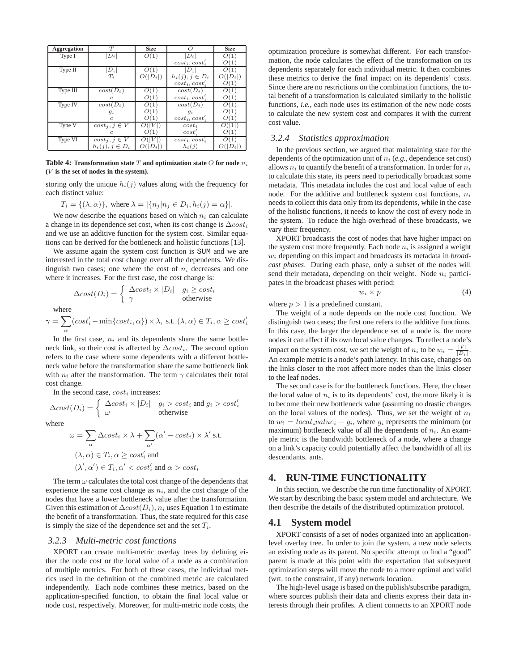| Aggregation | T                      | <b>Size</b> |                     | <b>Size</b> |
|-------------|------------------------|-------------|---------------------|-------------|
| Type I      | $D_i$                  |             |                     |             |
|             |                        |             | $cost_i, cost'_i$   |             |
| Type II     | $D_i$                  |             | $D_i$               |             |
|             | $T_i$                  | $O( D_i )$  | $h_i(j), j \in D_i$ | $D_i$ )     |
|             |                        |             | $cost_i, cost'_i$   | 1           |
| Type III    | $cost(D_i)$            |             | $cost(D_i)$         |             |
|             | $\overline{c}$         |             | $cost_i, cost'_i$   |             |
| Type IV     | $\overline{cost}(D_i)$ |             | $cost(D_i)$         |             |
|             | $g_i$                  |             | $g_i$               | O(1)        |
|             | $\overline{c}$         |             | $cost_i, cost'_i$   | 1.          |
| Type V      | $cost_j, j \in V$      |             | $cost_i$            |             |
|             |                        |             | cost'               |             |
| Type VI     | $cost_j, j \in V$      |             | $cost_i, cost'_i$   |             |
|             | $h_i(j), j \in D_i$    |             | $h_i(j)$            |             |

**Table 4:** Transformation state  $T$  and optimization state  $O$  for node  $n_i$ **(**V **is the set of nodes in the system).**

storing only the unique  $h_i(j)$  values along with the frequency for each distinct value:

 $T_i = \{(\lambda, \alpha)\}\,$ , where  $\lambda = |\{n_j | n_j \in D_i, h_i(j) = \alpha\}\,$ .

We now describe the equations based on which  $n_i$  can calculate a change in its dependence set cost, when its cost change is  $\Delta cost_i$ and we use an additive function for the system cost. Similar equations can be derived for the bottleneck and holistic functions [13].

We assume again the system cost function is SUM and we are interested in the total cost change over all the dependents. We distinguish two cases; one where the cost of  $n_i$  decreases and one where it increases. For the first case, the cost change is:

$$
\Delta cost(D_i) = \begin{cases} \Delta cost_i \times |D_i| & g_i \ge cost_i \\ \gamma & \text{otherwise} \end{cases}
$$

where

$$
\gamma = \sum_{\alpha} (cost'_i - \min\{cost_i, \alpha\}) \times \lambda, \text{ s.t. } (\lambda, \alpha) \in T_i, \alpha \ge cost'_i
$$

In the first case,  $n_i$  and its dependents share the same bottleneck link, so their cost is affected by  $\Delta cost_i$ . The second option refers to the case where some dependents with a different bottleneck value before the transformation share the same bottleneck link with  $n_i$  after the transformation. The term  $\gamma$  calculates their total cost change.

In the second case,  $cost_i$  increases:

$$
\Delta cost(D_i) = \begin{cases} \Delta cost_i \times |D_i| & g_i > cost_i \text{ and } g_i > cost'_i\\ \omega & \text{otherwise} \end{cases}
$$

where

$$
\omega = \sum_{\alpha} \Delta cost_i \times \lambda + \sum_{\alpha'} (\alpha' - cost_i) \times \lambda' \text{ s.t.}
$$

$$
(\lambda, \alpha) \in T_i, \alpha \ge cost'_i \text{ and}
$$

$$
(\lambda', \alpha') \in T_i, \alpha' < cost'_i \text{ and } \alpha > cost_i
$$

The term  $\omega$  calculates the total cost change of the dependents that experience the same cost change as  $n_i$ , and the cost change of the nodes that have a lower bottleneck value after the transformation. Given this estimation of  $\Delta cost(D_i)$ ,  $n_i$  uses Equation 1 to estimate the benefit of a transformation. Thus, the state required for this case is simply the size of the dependence set and the set  $T_i$ .

#### *3.2.3 Multi-metric cost functions*

XPORT can create multi-metric overlay trees by defining either the node cost or the local value of a node as a combination of multiple metrics. For both of these cases, the individual metrics used in the definition of the combined metric are calculated independently. Each node combines these metrics, based on the application-specified function, to obtain the final local value or node cost, respectively. Moreover, for multi-metric node costs, the

optimization procedure is somewhat different. For each transformation, the node calculates the effect of the transformation on its dependents separately for each individual metric. It then combines these metrics to derive the final impact on its dependents' costs. Since there are no restrictions on the combination functions, the total benefit of a transformation is calculated similarly to the holistic functions, *i.e.*, each node uses its estimation of the new node costs to calculate the new system cost and compares it with the current cost value.

#### *3.2.4 Statistics approximation*

In the previous section, we argued that maintaining state for the dependents of the optimization unit of  $n_i$  (*e.g.*, dependence set cost) allows  $n_i$  to quantify the benefit of a transformation. In order for  $n_i$ to calculate this state, its peers need to periodically broadcast some metadata. This metadata includes the cost and local value of each node. For the additive and bottleneck system cost functions,  $n_i$ needs to collect this data only from its dependents, while in the case of the holistic functions, it needs to know the cost of every node in the system. To reduce the high overhead of these broadcasts, we vary their frequency.

XPORT broadcasts the cost of nodes that have higher impact on the system cost more frequently. Each node  $n_i$  is assigned a weight w<sup>i</sup> depending on this impact and broadcasts its metadata in *broadcast phases*. During each phase, only a subset of the nodes will send their metadata, depending on their weight. Node  $n_i$  participates in the broadcast phases with period:

$$
w_i \times p \tag{4}
$$

where  $p > 1$  is a predefined constant.

The weight of a node depends on the node cost function. We distinguish two cases; the first one refers to the additive functions. In this case, the larger the dependence set of a node is, the more nodes it can affect if its own local value changes. To reflect a node's impact on the system cost, we set the weight of  $n_i$  to be  $w_i = \frac{|V|}{|D_i|}$ . An example metric is a node's path latency. In this case, changes on the links closer to the root affect more nodes than the links closer to the leaf nodes.

The second case is for the bottleneck functions. Here, the closer the local value of  $n_i$  is to its dependents' cost, the more likely it is to become their new bottleneck value (assuming no drastic changes on the local values of the nodes). Thus, we set the weight of  $n_i$ to  $w_i = local_value_i - g_i$ , where  $g_i$  represents the minimum (or maximum) bottleneck value of all the dependents of  $n_i$ . An example metric is the bandwidth bottleneck of a node, where a change on a link's capacity could potentially affect the bandwidth of all its descendants. ants.

## **4. RUN-TIME FUNCTIONALITY**

In this section, we describe the run time functionality of XPORT. We start by describing the basic system model and architecture. We then describe the details of the distributed optimization protocol.

# **4.1 System model**

XPORT consists of a set of nodes organized into an applicationlevel overlay tree. In order to join the system, a new node selects an existing node as its parent. No specific attempt to find a "good" parent is made at this point with the expectation that subsequent optimization steps will move the node to a more optimal and valid (wrt. to the constraint, if any) network location.

The high-level usage is based on the publish/subscribe paradigm, where sources publish their data and clients express their data interests through their profiles. A client connects to an XPORT node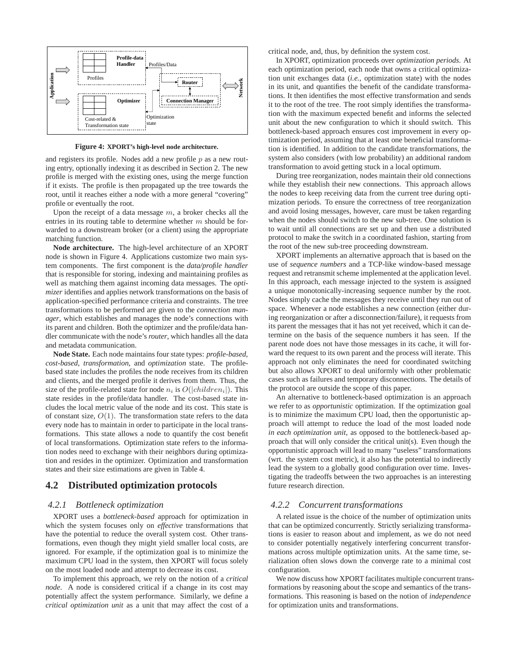

**Figure 4: XPORT's high-level node architecture.**

and registers its profile. Nodes add a new profile  $p$  as a new routing entry, optionally indexing it as described in Section 2. The new profile is merged with the existing ones, using the merge function if it exists. The profile is then propagated up the tree towards the root, until it reaches either a node with a more general "covering" profile or eventually the root.

Upon the receipt of a data message  $m$ , a broker checks all the entries in its routing table to determine whether  $m$  should be forwarded to a downstream broker (or a client) using the appropriate matching function.

**Node architecture.** The high-level architecture of an XPORT node is shown in Figure 4. Applications customize two main system components. The first component is the *data/profile handler* that is responsible for storing, indexing and maintaining profiles as well as matching them against incoming data messages. The *optimizer* identifies and applies network transformations on the basis of application-specified performance criteria and constraints. The tree transformations to be performed are given to the *connection manager*, which establishes and manages the node's connections with its parent and children. Both the optimizer and the profile/data handler communicate with the node's *router*, which handles all the data and metadata communication.

**Node State.** Each node maintains four state types: *profile-based*, *cost-based*, *transformation*, and *optimization* state. The profilebased state includes the profiles the node receives from its children and clients, and the merged profile it derives from them. Thus, the size of the profile-related state for node  $n_i$  is  $O(|children_i|)$ . This state resides in the profile/data handler. The cost-based state includes the local metric value of the node and its cost. This state is of constant size,  $O(1)$ . The transformation state refers to the data every node has to maintain in order to participate in the local transformations. This state allows a node to quantify the cost benefit of local transformations. Optimization state refers to the information nodes need to exchange with their neighbors during optimization and resides in the optimizer. Optimization and transformation states and their size estimations are given in Table 4.

## **4.2 Distributed optimization protocols**

#### *4.2.1 Bottleneck optimization*

XPORT uses a *bottleneck-based* approach for optimization in which the system focuses only on *effective* transformations that have the potential to reduce the overall system cost. Other transformations, even though they might yield smaller local costs, are ignored. For example, if the optimization goal is to minimize the maximum CPU load in the system, then XPORT will focus solely on the most loaded node and attempt to decrease its cost.

To implement this approach, we rely on the notion of a *critical node*. A node is considered critical if a change in its cost may potentially affect the system performance. Similarly, we define a *critical optimization unit* as a unit that may affect the cost of a critical node, and, thus, by definition the system cost.

In XPORT, optimization proceeds over *optimization periods*. At each optimization period, each node that owns a critical optimization unit exchanges data (*i.e.*, optimization state) with the nodes in its unit, and quantifies the benefit of the candidate transformations. It then identifies the most effective transformation and sends it to the root of the tree. The root simply identifies the transformation with the maximum expected benefit and informs the selected unit about the new configuration to which it should switch. This bottleneck-based approach ensures cost improvement in every optimization period, assuming that at least one beneficial transformation is identified. In addition to the candidate transformations, the system also considers (with low probability) an additional random transformation to avoid getting stuck in a local optimum.

During tree reorganization, nodes maintain their old connections while they establish their new connections. This approach allows the nodes to keep receiving data from the current tree during optimization periods. To ensure the correctness of tree reorganization and avoid losing messages, however, care must be taken regarding when the nodes should switch to the new sub-tree. One solution is to wait until all connections are set up and then use a distributed protocol to make the switch in a coordinated fashion, starting from the root of the new sub-tree proceeding downstream.

XPORT implements an alternative approach that is based on the use of *sequence numbers* and a TCP-like window-based message request and retransmit scheme implemented at the application level. In this approach, each message injected to the system is assigned a unique monotonically-increasing sequence number by the root. Nodes simply cache the messages they receive until they run out of space. Whenever a node establishes a new connection (either during reorganization or after a disconnection/failure), it requests from its parent the messages that it has not yet received, which it can determine on the basis of the sequence numbers it has seen. If the parent node does not have those messages in its cache, it will forward the request to its own parent and the process will iterate. This approach not only eliminates the need for coordinated switching but also allows XPORT to deal uniformly with other problematic cases such as failures and temporary disconnections. The details of the protocol are outside the scope of this paper.

An alternative to bottleneck-based optimization is an approach we refer to as *opportunistic* optimization. If the optimization goal is to minimize the maximum CPU load, then the opportunistic approach will attempt to reduce the load of the most loaded node *in each optimization unit*, as opposed to the bottleneck-based approach that will only consider the critical unit(s). Even though the opportunistic approach will lead to many "useless" transformations (wrt. the system cost metric), it also has the potential to indirectly lead the system to a globally good configuration over time. Investigating the tradeoffs between the two approaches is an interesting future research direction.

#### *4.2.2 Concurrent transformations*

A related issue is the choice of the number of optimization units that can be optimized concurrently. Strictly serializing transformations is easier to reason about and implement, as we do not need to consider potentially negatively interfering concurrent transformations across multiple optimization units. At the same time, serialization often slows down the converge rate to a minimal cost configuration.

We now discuss how XPORT facilitates multiple concurrent transformations by reasoning about the scope and semantics of the transformations. This reasoning is based on the notion of *independence* for optimization units and transformations.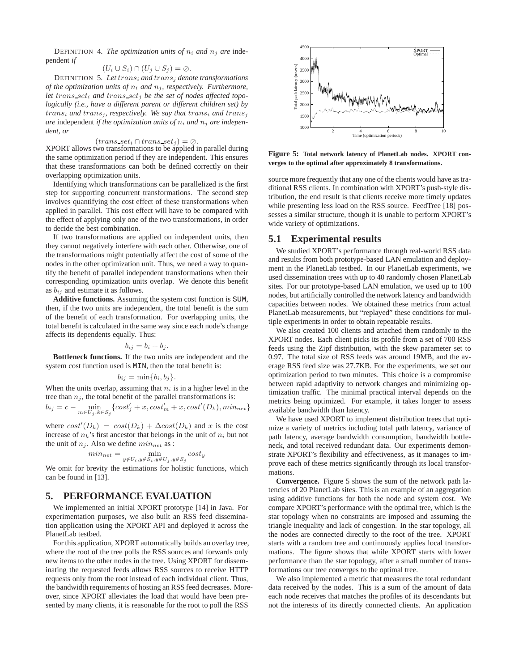DEFINITION 4. *The optimization units of*  $n_i$  *and*  $n_j$  *are* independent *if*

$$
(U_i\cup S_i)\cap (U_j\cup S_j)=\emptyset.
$$

DEFINITION 5. *Let* trans<sup>i</sup> *and* trans<sup>j</sup> *denote transformations of the optimization units of*  $n_i$  *and*  $n_j$ *, respectively. Furthermore,* let trans  $set_i$  and trans  $set_j$  be the set of nodes affected topo*logically (i.e., have a different parent or different children set) by*  $trans<sub>i</sub>$  *and*  $trans<sub>i</sub>$ *, respectively. We say that*  $trans<sub>i</sub>$  *and*  $trans<sub>i</sub>$ are independent *if the optimization units of*  $n_i$  *and*  $n_j$  *are independent, or*

#### $(trans_set_i \cap trans_set_j) = \oslash.$

XPORT allows two transformations to be applied in parallel during the same optimization period if they are independent. This ensures that these transformations can both be defined correctly on their overlapping optimization units.

Identifying which transformations can be parallelized is the first step for supporting concurrent transformations. The second step involves quantifying the cost effect of these transformations when applied in parallel. This cost effect will have to be compared with the effect of applying only one of the two transformations, in order to decide the best combination.

If two transformations are applied on independent units, then they cannot negatively interfere with each other. Otherwise, one of the transformations might potentially affect the cost of some of the nodes in the other optimization unit. Thus, we need a way to quantify the benefit of parallel independent transformations when their corresponding optimization units overlap. We denote this benefit as  $b_{ij}$  and estimate it as follows.

**Additive functions.** Assuming the system cost function is SUM, then, if the two units are independent, the total benefit is the sum of the benefit of each transformation. For overlapping units, the total benefit is calculated in the same way since each node's change affects its dependents equally. Thus:

$$
b_{ij}=b_i+b_j.
$$

**Bottleneck functions.** If the two units are independent and the system cost function used is MIN, then the total benefit is:

$$
b_{ij} = \min\{b_i, b_j\}.
$$

When the units overlap, assuming that  $n_i$  is in a higher level in the tree than  $n_j$ , the total benefit of the parallel transformations is:  $b_{ij} = c - \min_{m \in U_j, k \in S_j} \{ cost'_j + x, cost'_m + x, cost'(D_k), min_{net} \}$ 

where  $cost'(D_k) = cost(D_k) + \Delta cost(D_k)$  and x is the cost increase of  $n_k$ 's first ancestor that belongs in the unit of  $n_i$  but not the unit of  $n_j$ . Also we define  $min_{net}$  as :

$$
min_{net} = \min_{y \notin U_i, y \notin S_i, y \notin U_j, y \notin S_j} cost_y
$$

We omit for brevity the estimations for holistic functions, which can be found in [13].

## **5. PERFORMANCE EVALUATION**

We implemented an initial XPORT prototype [14] in Java. For experimentation purposes, we also built an RSS feed dissemination application using the XPORT API and deployed it across the PlanetLab testbed.

For this application, XPORT automatically builds an overlay tree, where the root of the tree polls the RSS sources and forwards only new items to the other nodes in the tree. Using XPORT for disseminating the requested feeds allows RSS sources to receive HTTP requests only from the root instead of each individual client. Thus, the bandwidth requirements of hosting an RSS feed decreases. Moreover, since XPORT alleviates the load that would have been presented by many clients, it is reasonable for the root to poll the RSS



**Figure 5: Total network latency of PlanetLab nodes. XPORT converges to the optimal after approximately 8 transformations.**

source more frequently that any one of the clients would have as traditional RSS clients. In combination with XPORT's push-style distribution, the end result is that clients receive more timely updates while presenting less load on the RSS source. FeedTree [18] possesses a similar structure, though it is unable to perform XPORT's wide variety of optimizations.

## **5.1 Experimental results**

We studied XPORT's performance through real-world RSS data and results from both prototype-based LAN emulation and deployment in the PlanetLab testbed. In our PlanetLab experiments, we used dissemination trees with up to 40 randomly chosen PlanetLab sites. For our prototype-based LAN emulation, we used up to 100 nodes, but artificially controlled the network latency and bandwidth capacities between nodes. We obtained these metrics from actual PlanetLab measurements, but "replayed" these conditions for multiple experiments in order to obtain repeatable results.

We also created 100 clients and attached them randomly to the XPORT nodes. Each client picks its profile from a set of 700 RSS feeds using the Zipf distribution, with the skew parameter set to 0.97. The total size of RSS feeds was around 19MB, and the average RSS feed size was 27.7KB. For the experiments, we set our optimization period to two minutes. This choice is a compromise between rapid adaptivity to network changes and minimizing optimization traffic. The minimal practical interval depends on the metrics being optimized. For example, it takes longer to assess available bandwidth than latency.

We have used XPORT to implement distribution trees that optimize a variety of metrics including total path latency, variance of path latency, average bandwidth consumption, bandwidth bottleneck, and total received redundant data. Our experiments demonstrate XPORT's flexibility and effectiveness, as it manages to improve each of these metrics significantly through its local transformations.

**Convergence.** Figure 5 shows the sum of the network path latencies of 20 PlanetLab sites. This is an example of an aggregation using additive functions for both the node and system cost. We compare XPORT's performance with the optimal tree, which is the star topology when no constraints are imposed and assuming the triangle inequality and lack of congestion. In the star topology, all the nodes are connected directly to the root of the tree. XPORT starts with a random tree and continuously applies local transformations. The figure shows that while XPORT starts with lower performance than the star topology, after a small number of transformations our tree converges to the optimal tree.

We also implemented a metric that measures the total redundant data received by the nodes. This is a sum of the amount of data each node receives that matches the profiles of its descendants but not the interests of its directly connected clients. An application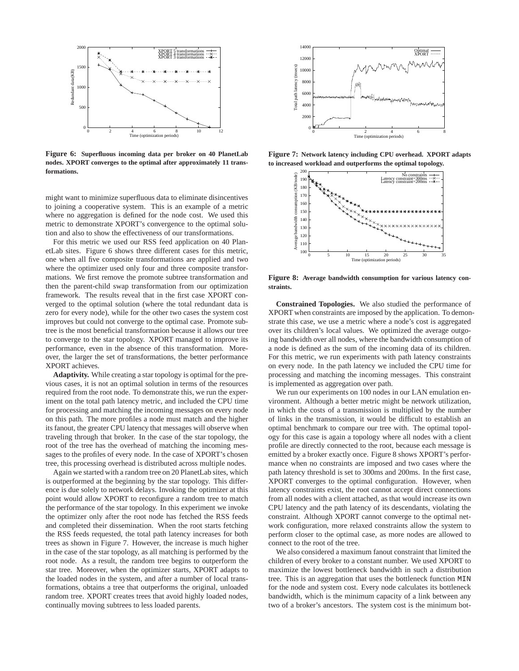

**Figure 6: Superfluous incoming data per broker on 40 PlanetLab nodes. XPORT converges to the optimal after approximately 11 transformations.**

might want to minimize superfluous data to eliminate disincentives to joining a cooperative system. This is an example of a metric where no aggregation is defined for the node cost. We used this metric to demonstrate XPORT's convergence to the optimal solution and also to show the effectiveness of our transformations.

For this metric we used our RSS feed application on 40 PlanetLab sites. Figure 6 shows three different cases for this metric, one when all five composite transformations are applied and two where the optimizer used only four and three composite transformations. We first remove the promote subtree transformation and then the parent-child swap transformation from our optimization framework. The results reveal that in the first case XPORT converged to the optimal solution (where the total redundant data is zero for every node), while for the other two cases the system cost improves but could not converge to the optimal case. Promote subtree is the most beneficial transformation because it allows our tree to converge to the star topology. XPORT managed to improve its performance, even in the absence of this transformation. Moreover, the larger the set of transformations, the better performance XPORT achieves.

**Adaptivity.** While creating a star topology is optimal for the previous cases, it is not an optimal solution in terms of the resources required from the root node. To demonstrate this, we run the experiment on the total path latency metric, and included the CPU time for processing and matching the incoming messages on every node on this path. The more profiles a node must match and the higher its fanout, the greater CPU latency that messages will observe when traveling through that broker. In the case of the star topology, the root of the tree has the overhead of matching the incoming messages to the profiles of every node. In the case of XPORT's chosen tree, this processing overhead is distributed across multiple nodes.

Again we started with a random tree on 20 PlanetLab sites, which is outperformed at the beginning by the star topology. This difference is due solely to network delays. Invoking the optimizer at this point would allow XPORT to reconfigure a random tree to match the performance of the star topology. In this experiment we invoke the optimizer only after the root node has fetched the RSS feeds and completed their dissemination. When the root starts fetching the RSS feeds requested, the total path latency increases for both trees as shown in Figure 7. However, the increase is much higher in the case of the star topology, as all matching is performed by the root node. As a result, the random tree begins to outperform the star tree. Moreover, when the optimizer starts, XPORT adapts to the loaded nodes in the system, and after a number of local transformations, obtains a tree that outperforms the original, unloaded random tree. XPORT creates trees that avoid highly loaded nodes, continually moving subtrees to less loaded parents.



**Figure 7: Network latency including CPU overhead. XPORT adapts to increased workload and outperforms the optimal topology.**



**Figure 8: Average bandwidth consumption for various latency constraints.**

**Constrained Topologies.** We also studied the performance of XPORT when constraints are imposed by the application. To demonstrate this case, we use a metric where a node's cost is aggregated over its children's local values. We optimized the average outgoing bandwidth over all nodes, where the bandwidth consumption of a node is defined as the sum of the incoming data of its children. For this metric, we run experiments with path latency constraints on every node. In the path latency we included the CPU time for processing and matching the incoming messages. This constraint is implemented as aggregation over path.

We run our experiments on 100 nodes in our LAN emulation environment. Although a better metric might be network utilization, in which the costs of a transmission is multiplied by the number of links in the transmission, it would be difficult to establish an optimal benchmark to compare our tree with. The optimal topology for this case is again a topology where all nodes with a client profile are directly connected to the root, because each message is emitted by a broker exactly once. Figure 8 shows XPORT's performance when no constraints are imposed and two cases where the path latency threshold is set to 300ms and 200ms. In the first case, XPORT converges to the optimal configuration. However, when latency constraints exist, the root cannot accept direct connections from all nodes with a client attached, as that would increase its own CPU latency and the path latency of its descendants, violating the constraint. Although XPORT cannot converge to the optimal network configuration, more relaxed constraints allow the system to perform closer to the optimal case, as more nodes are allowed to connect to the root of the tree.

We also considered a maximum fanout constraint that limited the children of every broker to a constant number. We used XPORT to maximize the lowest bottleneck bandwidth in such a distribution tree. This is an aggregation that uses the bottleneck function MIN for the node and system cost. Every node calculates its bottleneck bandwidth, which is the minimum capacity of a link between any two of a broker's ancestors. The system cost is the minimum bot-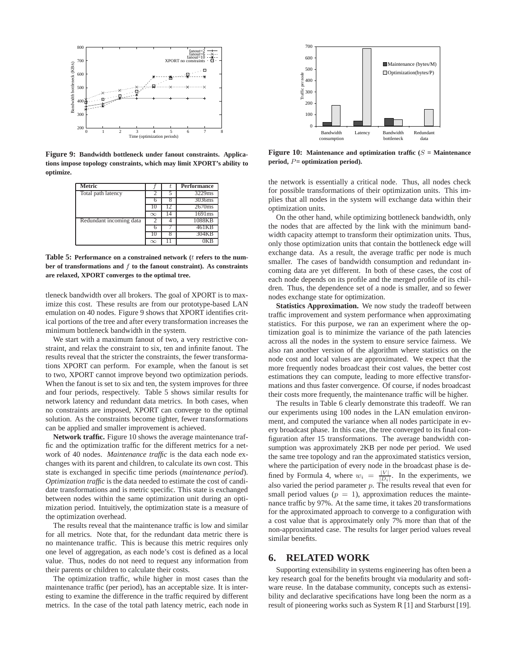

**Figure 9: Bandwidth bottleneck under fanout constraints. Applications impose topology constraints, which may limit XPORT's ability to optimize.**

| Metric                  |          | <b>Performance</b>   |
|-------------------------|----------|----------------------|
| Total path latency      |          | $\overline{3229}$ ms |
|                         |          | 3036ms               |
|                         |          | 2670ms               |
|                         | $\infty$ | 1691ms               |
| Redundant incoming data |          | 1088KB               |
|                         |          | 161 K B              |
|                         |          | 304KB                |
|                         | $\infty$ |                      |

**Table 5: Performance on a constrained network (**t **refers to the number of transformations and** f **to the fanout constraint). As constraints are relaxed, XPORT converges to the optimal tree.**

tleneck bandwidth over all brokers. The goal of XPORT is to maximize this cost. These results are from our prototype-based LAN emulation on 40 nodes. Figure 9 shows that XPORT identifies critical portions of the tree and after every transformation increases the minimum bottleneck bandwidth in the system.

We start with a maximum fanout of two, a very restrictive constraint, and relax the constraint to six, ten and infinite fanout. The results reveal that the stricter the constraints, the fewer transformations XPORT can perform. For example, when the fanout is set to two, XPORT cannot improve beyond two optimization periods. When the fanout is set to six and ten, the system improves for three and four periods, respectively. Table 5 shows similar results for network latency and redundant data metrics. In both cases, when no constraints are imposed, XPORT can converge to the optimal solution. As the constraints become tighter, fewer transformations can be applied and smaller improvement is achieved.

**Network traffic.** Figure 10 shows the average maintenance traffic and the optimization traffic for the different metrics for a network of 40 nodes. *Maintenance traffic* is the data each node exchanges with its parent and children, to calculate its own cost. This state is exchanged in specific time periods (*maintenance period*). *Optimization traffic* is the data needed to estimate the cost of candidate transformations and is metric specific. This state is exchanged between nodes within the same optimization unit during an optimization period. Intuitively, the optimization state is a measure of the optimization overhead.

The results reveal that the maintenance traffic is low and similar for all metrics. Note that, for the redundant data metric there is no maintenance traffic. This is because this metric requires only one level of aggregation, as each node's cost is defined as a local value. Thus, nodes do not need to request any information from their parents or children to calculate their costs.

The optimization traffic, while higher in most cases than the maintenance traffic (per period), has an acceptable size. It is interesting to examine the difference in the traffic required by different metrics. In the case of the total path latency metric, each node in



**Figure 10:** Maintenance and optimization traffic  $(S = \text{Maintename})$ **period,** P**= optimization period).**

the network is essentially a critical node. Thus, all nodes check for possible transformations of their optimization units. This implies that all nodes in the system will exchange data within their optimization units.

On the other hand, while optimizing bottleneck bandwidth, only the nodes that are affected by the link with the minimum bandwidth capacity attempt to transform their optimization units. Thus, only those optimization units that contain the bottleneck edge will exchange data. As a result, the average traffic per node is much smaller. The cases of bandwidth consumption and redundant incoming data are yet different. In both of these cases, the cost of each node depends on its profile and the merged profile of its children. Thus, the dependence set of a node is smaller, and so fewer nodes exchange state for optimization.

**Statistics Approximation.** We now study the tradeoff between traffic improvement and system performance when approximating statistics. For this purpose, we ran an experiment where the optimization goal is to minimize the variance of the path latencies across all the nodes in the system to ensure service fairness. We also ran another version of the algorithm where statistics on the node cost and local values are approximated. We expect that the more frequently nodes broadcast their cost values, the better cost estimations they can compute, leading to more effective transformations and thus faster convergence. Of course, if nodes broadcast their costs more frequently, the maintenance traffic will be higher.

The results in Table 6 clearly demonstrate this tradeoff. We ran our experiments using 100 nodes in the LAN emulation environment, and computed the variance when all nodes participate in every broadcast phase. In this case, the tree converged to its final configuration after 15 transformations. The average bandwidth consumption was approximately 2KB per node per period. We used the same tree topology and ran the approximated statistics version, where the participation of every node in the broadcast phase is defined by Formula 4, where  $w_i = \frac{|V|}{|D_i|}$ . In the experiments, we also varied the period parameter  $p$ . The results reveal that even for small period values ( $p = 1$ ), approximation reduces the maintenance traffic by 97%. At the same time, it takes 20 transformations for the approximated approach to converge to a configuration with a cost value that is approximately only 7% more than that of the non-approximated case. The results for larger period values reveal similar benefits.

# **6. RELATED WORK**

Supporting extensibility in systems engineering has often been a key research goal for the benefits brought via modularity and software reuse. In the database community, concepts such as extensibility and declarative specifications have long been the norm as a result of pioneering works such as System R [1] and Starburst [19].